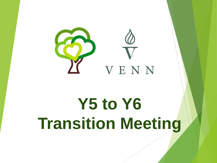

# **Y5 to Y6 Transition Meeting**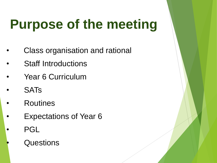### **Purpose of the meeting**

- Class organisation and rational
- **Staff Introductions**
- Year 6 Curriculum
- **SATs**
- **Routines**
- Expectations of Year 6
	- **PGL**
	- **Questions**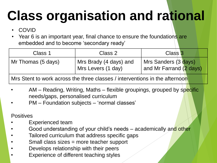## **Class organisation and rational**

- COVID
- Year 6 is an important year, final chance to ensure the foundations are embedded and to become 'secondary ready'

| Class 1            | Class 2                                      | Class <sub>3</sub>                              |
|--------------------|----------------------------------------------|-------------------------------------------------|
| Mr Thomas (5 days) | Mrs Brady (4 days) and<br>Mrs Levers (1 day) | Mrs Sanders (3 days)<br>and Mr Farrand (2 days) |

Mrs Stent to work across the three classes / interventions in the afternoon

- AM Reading, Writing, Maths flexible groupings, grouped by specific needs/gaps, personalised curriculum
- PM Foundation subjects 'normal classes'

**Positives** 

- Experienced team
- Good understanding of your child's needs academically and other
- Tailored curriculum that address specific gaps
- Small class sizes = more teacher support
- Develops relationship with their peers
- Experience of different teaching styles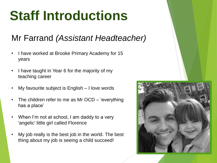#### Mr Farrand *(Assistant Headteacher)*

- I have worked at Brooke Primary Academy for 15 years
- I have taught in Year 6 for the majority of my teaching career
- My favourite subject is  $English I$  love words
- The children refer to me as Mr  $OCD '$ everything has a place'
- When I'm not at school, I am daddy to a very 'angelic' little girl called Florence
- My job really is the best job in the world. The best thing about my job is seeing a child succeed!

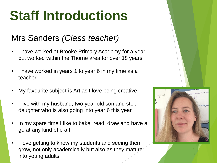#### Mrs Sanders *(Class teacher)*

- I have worked at Brooke Primary Academy for a year but worked within the Thorne area for over 18 years.
- I have worked in years 1 to year 6 in my time as a teacher.
- My favourite subject is Art as I love being creative.
- I live with my husband, two year old son and step daughter who is also going into year 6 this year.
- In my spare time I like to bake, read, draw and have a go at any kind of craft.
- I love getting to know my students and seeing them grow, not only academically but also as they mature into young adults.

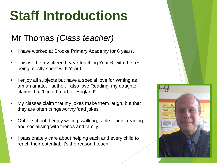#### Mr Thomas *(Class teacher)*

- I have worked at Brooke Primary Academy for 6 years.
- This will be my fifteenth year teaching Year 6, with the rest being mostly spent with Year 5.
- I enjoy all subjects but have a special love for Writing as I am an amateur author. I also love Reading; my daughter claims that 'I could read for England!'
- My classes claim that my jokes make them laugh, but that they are often cringeworthy 'dad jokes'!
- Out of school, I enjoy writing, walking, table tennis, reading and socialising with friends and family.
- I passionately care about helping each and every child to reach their potential; it's the reason I teach!



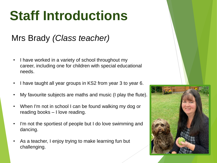#### Mrs Brady *(Class teacher)*

- I have worked in a variety of school throughout my career, including one for children with special educational needs.
- I have taught all year groups in KS2 from year 3 to year 6.
- My favourite subjects are maths and music (I play the flute).
- When I'm not in school I can be found walking my dog or reading books – I love reading.
- I'm not the sportiest of people but I do love swimming and dancing.
- As a teacher, I enjoy trying to make learning fun but challenging.

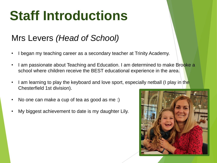#### Mrs Levers *(Head of School)*

- I began my teaching career as a secondary teacher at Trinity Academy.
- I am passionate about Teaching and Education. I am determined to make Brooke a school where children receive the BEST educational experience in the area.
- I am learning to play the keyboard and love sport, especially netball (I play in the Chesterfield 1st division).
- No one can make a cup of tea as good as me :)
- My biggest achievement to date is my daughter Lily.

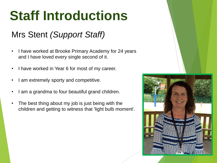#### Mrs Stent *(Support Staff)*

- I have worked at Brooke Primary Academy for 24 years and I have loved every single second of it.
- I have worked in Year 6 for most of my career.
- I am extremely sporty and competitive.
- I am a grandma to four beautiful grand children.
- The best thing about my job is just being with the children and getting to witness that 'light bulb moment'.

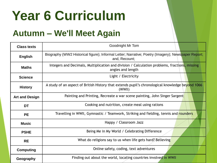### **Year 6 Curriculum**

#### **Autumn – We'll Meet Again**

| <b>Class texts</b>    | Goodnight Mr Tom                                                                                                    |
|-----------------------|---------------------------------------------------------------------------------------------------------------------|
| <b>English</b>        | Biography (WW2 Historical figure); Informal Letter; Narrative; Poetry (Imagery); Newspaper Report;<br>and, Recount; |
| <b>Maths</b>          | Integers and Decimals, Multiplication and division / Calculation problems, fractions, missing<br>angles and length  |
| <b>Science</b>        | Light / Electricity                                                                                                 |
| <b>History</b>        | A study of an aspect of British History that extends pupil's chronological knowledge beyond 1066<br>(WWII)          |
| <b>Art and Design</b> | Painting and Printing, Recreate a war scene painting, John Singer Sargent                                           |
| <b>DT</b>             | Cooking and nutrition, create meal using rations                                                                    |
| <b>PE</b>             | Travelling in WWII, Gymnastic / Teamwork, Striking and fielding, tennis and rounders                                |
| <b>Music</b>          | Happy / Classroom Jazz                                                                                              |
| <b>PSHE</b>           | Being Me in My World / Celebrating Difference                                                                       |
| <b>RE</b>             | What do religions say to us when life gets hard? Believing                                                          |
| <b>Computing</b>      | Online safety, coding, text adventures                                                                              |
| Geography             | Finding out about the world, locating countries involved in WWII                                                    |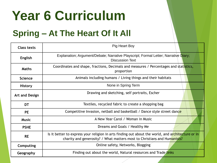### **Year 6 Curriculum**

#### **Spring – At The Heart Of It All**

| <b>Class texts</b> | Pig Heart Boy                                                                                                                                                                 |  |
|--------------------|-------------------------------------------------------------------------------------------------------------------------------------------------------------------------------|--|
| <b>English</b>     | Explanation; Argument/Debate; Narrative Playscript; Formal Letter; Narrative Diary;<br><b>Discussion Text</b>                                                                 |  |
| <b>Maths</b>       | Coordinates and shape, fractions, Decimals and measures / Percentages and statistics,<br>proportion                                                                           |  |
| <b>Science</b>     | Animals including humans / Living things and their habitats                                                                                                                   |  |
| <b>History</b>     | None in Spring Term                                                                                                                                                           |  |
| Art and Design     | Drawing and sketching, self portraits, Escher                                                                                                                                 |  |
| <b>DT</b>          | Textiles, recycled fabric to create a shopping bag                                                                                                                            |  |
| <b>PE</b>          | Competitive Invasion, netball and basketball / Dance style street dance                                                                                                       |  |
| <b>Music</b>       | A New Year Carol / Woman in Music                                                                                                                                             |  |
| <b>PSHE</b>        | Dreams and Goals / Healthy Me                                                                                                                                                 |  |
| <b>RE</b>          | Is it better to express your religion in arts finding out about the world, and architecture or in<br>charity and generosity? / What matters most to Christians and Humanists? |  |
| Computing          | Online safety, Networks, Blogging                                                                                                                                             |  |
| Geography          | Finding out about the world, Natural resources and Trade links                                                                                                                |  |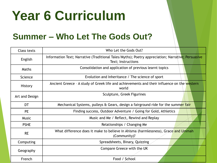### **Year 6 Curriculum**

#### **Summer – Who Let The Gods Out?**

| Class texts    | Who Let the Gods Out?                                                                                                   |
|----------------|-------------------------------------------------------------------------------------------------------------------------|
| English        | Information Text; Narrative (Traditional Tales/Myths); Poetry appreciation; Narrative; Persuasive<br>Text; Instructions |
| Maths          | Consolidation and application of previous learnt topics                                                                 |
| Science        | Evolution and Inheritance / The science of sport                                                                        |
| <b>History</b> | Ancient Greece - A study of Greek life and achievements and their influence on the western<br>world                     |
| Art and Design | Sculpture, Greek Figurines                                                                                              |
| DT             | Mechanical Systems, pulleys & Gears, design a fairground ride for the summer fair                                       |
| <b>PE</b>      | Finding success, Outdoor Adventure / Going for Gold, Athletics                                                          |
| <b>Music</b>   | Music and Me / Reflect, Rewind and Replay                                                                               |
| <b>PSHE</b>    | Relationships / Changing Me                                                                                             |
| <b>RE</b>      | What difference does it make to believe in Ahisma (harmlessness), Grace and Ummah<br>(Community)?                       |
| Computing      | Spreadsheets, Binary, Quizzing                                                                                          |
| Geography      | Compare Greece with the UK                                                                                              |
| French         | Food / School                                                                                                           |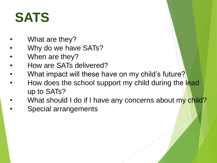#### **SATS**

- What are they?
- Why do we have SATs?
- When are they?
- How are SATs delivered?
- What impact will these have on my child's future?
- How does the school support my child during the lead up to SATs?
- What should I do if I have any concerns about my child?
- Special arrangements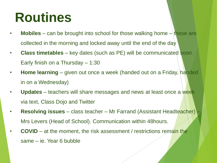#### **Routines**

- **Mobiles** can be brought into school for those walking home these are collected in the morning and locked away until the end of the day
- **Class timetables**  key dates (such as PE) will be communicated soon. Early finish on a Thursday – 1:30
- **Home learning**  given out once a week (handed out on a Friday, handed in on a Wednesday)
- **Updates** teachers will share messages and news at least once a week via text, Class Dojo and Twitter
- **Resolving issues**  class teacher Mr Farrand (Assistant Headteacher) Mrs Levers (Head of School). Communication within 48hours.
- **COVID** at the moment, the risk assessment / restrictions remain the same – ie. Year 6 bubble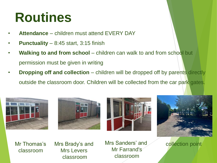#### **Routines**

- **Attendance** children must attend EVERY DAY
- **Punctuality** 8:45 start, 3:15 finish
- **Walking to and from school** children can walk to and from school but permission must be given in writing
- **Dropping off and collection** children will be dropped off by parents directly outside the classroom door. Children will be collected from the car park gates.









Mr Thomas's classroom

Mrs Brady's and Mrs Levers classroom

Mrs Sanders' and **collection point** Mr Farrand's classroom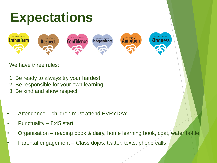#### **Expectations**



We have three rules:

- 1. Be ready to always try your hardest
- 2. Be responsible for your own learning
- 3. Be kind and show respect
- Attendance children must attend EVRYDAY
- Punctuality 8:45 start
- Organisation reading book & diary, home learning book, coat, water bottle
- Parental engagement Class dojos, twitter, texts, phone calls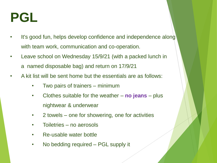#### **PGL**

- It's good fun, helps develop confidence and independence along with team work, communication and co-operation.
- Leave school on Wednesday 15/9/21 (with a packed lunch in a named disposable bag) and return on 17/9/21
- A kit list will be sent home but the essentials are as follows:
	- Two pairs of trainers minimum
	- Clothes suitable for the weather **no jeans** plus nightwear & underwear
	- 2 towels one for showering, one for activities
	- Toiletries no aerosols
	- Re-usable water bottle
	- No bedding required PGL supply it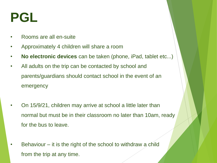#### **PGL**

- Rooms are all en-suite
- Approximately 4 children will share a room
- **No electronic devices** can be taken (phone, iPad, tablet etc...)
- All adults on the trip can be contacted by school and parents/guardians should contact school in the event of an emergency
- On 15/9/21, children may arrive at school a little later than normal but must be in their classroom no later than 10am, ready for the bus to leave.
- Behaviour it is the right of the school to withdraw a child from the trip at any time.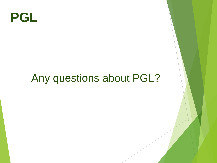

#### Any questions about PGL?